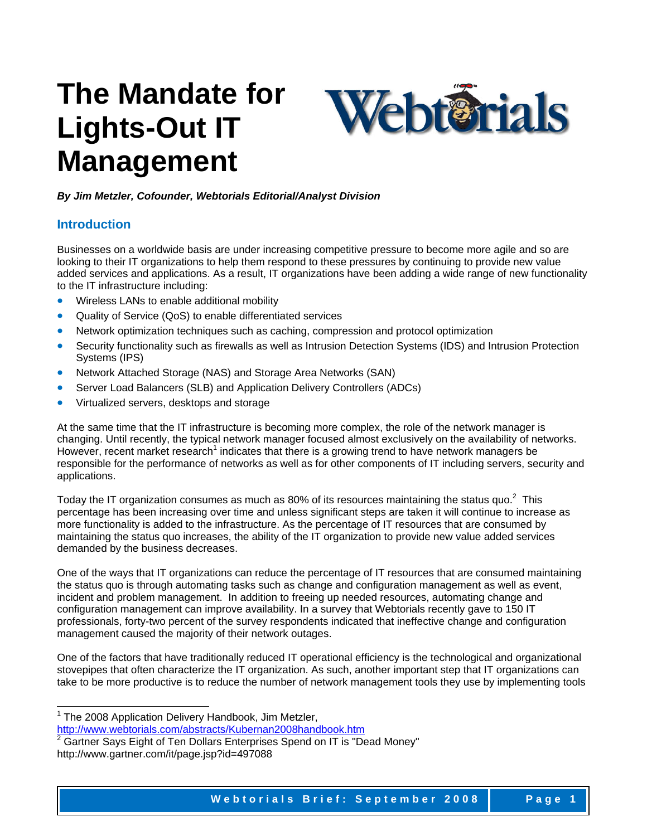# **The Mandate for Lights-Out IT Management**



*By Jim Metzler, Cofounder, Webtorials Editorial/Analyst Division*

#### **Introduction**

1

Businesses on a worldwide basis are under increasing competitive pressure to become more agile and so are looking to their IT organizations to help them respond to these pressures by continuing to provide new value added services and applications. As a result, IT organizations have been adding a wide range of new functionality to the IT infrastructure including:

- Wireless LANs to enable additional mobility
- Quality of Service (QoS) to enable differentiated services
- Network optimization techniques such as caching, compression and protocol optimization
- Security functionality such as firewalls as well as Intrusion Detection Systems (IDS) and Intrusion Protection Systems (IPS)
- Network Attached Storage (NAS) and Storage Area Networks (SAN)
- Server Load Balancers (SLB) and Application Delivery Controllers (ADCs)
- Virtualized servers, desktops and storage

At the same time that the IT infrastructure is becoming more complex, the role of the network manager is changing. Until recently, the typical network manager focused almost exclusively on the availability of networks. However, recent market research<sup>1</sup> indicates that there is a growing trend to have network managers be responsible for the performance of networks as well as for other components of IT including servers, security and applications.

Today the IT organization consumes as much as 80% of its resources maintaining the status quo.<sup>2</sup> This percentage has been increasing over time and unless significant steps are taken it will continue to increase as more functionality is added to the infrastructure. As the percentage of IT resources that are consumed by maintaining the status quo increases, the ability of the IT organization to provide new value added services demanded by the business decreases.

One of the ways that IT organizations can reduce the percentage of IT resources that are consumed maintaining the status quo is through automating tasks such as change and configuration management as well as event, incident and problem management. In addition to freeing up needed resources, automating change and configuration management can improve availability. In a survey that Webtorials recently gave to 150 IT professionals, forty-two percent of the survey respondents indicated that ineffective change and configuration management caused the majority of their network outages.

One of the factors that have traditionally reduced IT operational efficiency is the technological and organizational stovepipes that often characterize the IT organization. As such, another important step that IT organizations can take to be more productive is to reduce the number of network management tools they use by implementing tools

http://www.webtorials.com/abstracts/Kubernan2008handbook.htm

<sup>&</sup>lt;sup>1</sup> The 2008 Application Delivery Handbook, Jim Metzler,

<sup>2</sup> Gartner Says Eight of Ten Dollars Enterprises Spend on IT is "Dead Money" http://www.gartner.com/it/page.jsp?id=497088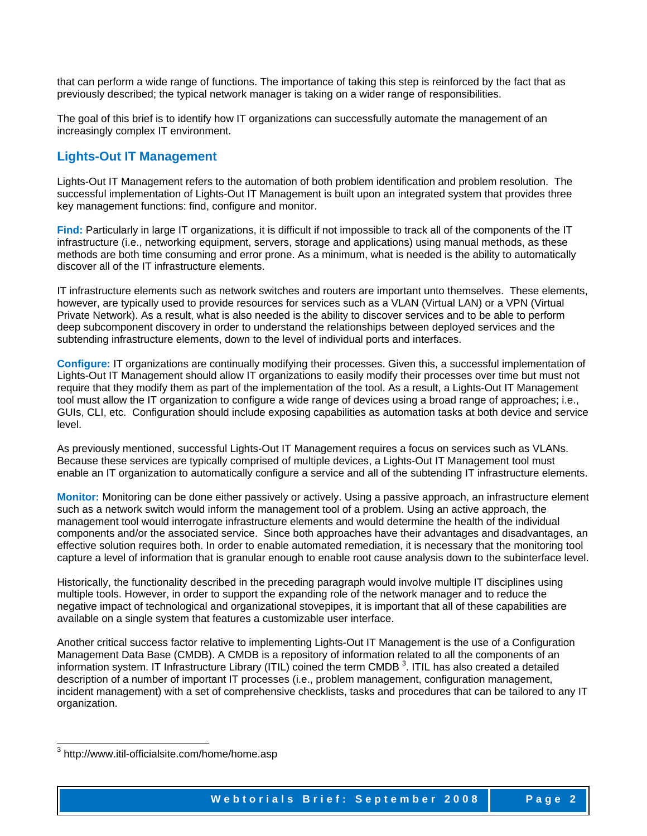that can perform a wide range of functions. The importance of taking this step is reinforced by the fact that as previously described; the typical network manager is taking on a wider range of responsibilities.

The goal of this brief is to identify how IT organizations can successfully automate the management of an increasingly complex IT environment.

### **Lights-Out IT Management**

Lights-Out IT Management refers to the automation of both problem identification and problem resolution. The successful implementation of Lights-Out IT Management is built upon an integrated system that provides three key management functions: find, configure and monitor.

**Find:** Particularly in large IT organizations, it is difficult if not impossible to track all of the components of the IT infrastructure (i.e., networking equipment, servers, storage and applications) using manual methods, as these methods are both time consuming and error prone. As a minimum, what is needed is the ability to automatically discover all of the IT infrastructure elements.

IT infrastructure elements such as network switches and routers are important unto themselves. These elements, however, are typically used to provide resources for services such as a VLAN (Virtual LAN) or a VPN (Virtual Private Network). As a result, what is also needed is the ability to discover services and to be able to perform deep subcomponent discovery in order to understand the relationships between deployed services and the subtending infrastructure elements, down to the level of individual ports and interfaces.

**Configure:** IT organizations are continually modifying their processes. Given this, a successful implementation of Lights-Out IT Management should allow IT organizations to easily modify their processes over time but must not require that they modify them as part of the implementation of the tool. As a result, a Lights-Out IT Management tool must allow the IT organization to configure a wide range of devices using a broad range of approaches; i.e., GUIs, CLI, etc. Configuration should include exposing capabilities as automation tasks at both device and service level.

As previously mentioned, successful Lights-Out IT Management requires a focus on services such as VLANs. Because these services are typically comprised of multiple devices, a Lights-Out IT Management tool must enable an IT organization to automatically configure a service and all of the subtending IT infrastructure elements.

**Monitor:** Monitoring can be done either passively or actively. Using a passive approach, an infrastructure element such as a network switch would inform the management tool of a problem. Using an active approach, the management tool would interrogate infrastructure elements and would determine the health of the individual components and/or the associated service. Since both approaches have their advantages and disadvantages, an effective solution requires both. In order to enable automated remediation, it is necessary that the monitoring tool capture a level of information that is granular enough to enable root cause analysis down to the subinterface level.

Historically, the functionality described in the preceding paragraph would involve multiple IT disciplines using multiple tools. However, in order to support the expanding role of the network manager and to reduce the negative impact of technological and organizational stovepipes, it is important that all of these capabilities are available on a single system that features a customizable user interface.

Another critical success factor relative to implementing Lights-Out IT Management is the use of a Configuration Management Data Base (CMDB). A CMDB is a repository of information related to all the components of an information system. IT Infrastructure Library (ITIL) coined the term CMDB  $^3$ . ITIL has also created a detailed description of a number of important IT processes (i.e., problem management, configuration management, incident management) with a set of comprehensive checklists, tasks and procedures that can be tailored to any IT organization.

1

<sup>&</sup>lt;sup>3</sup> http://www.itil-officialsite.com/home/home.asp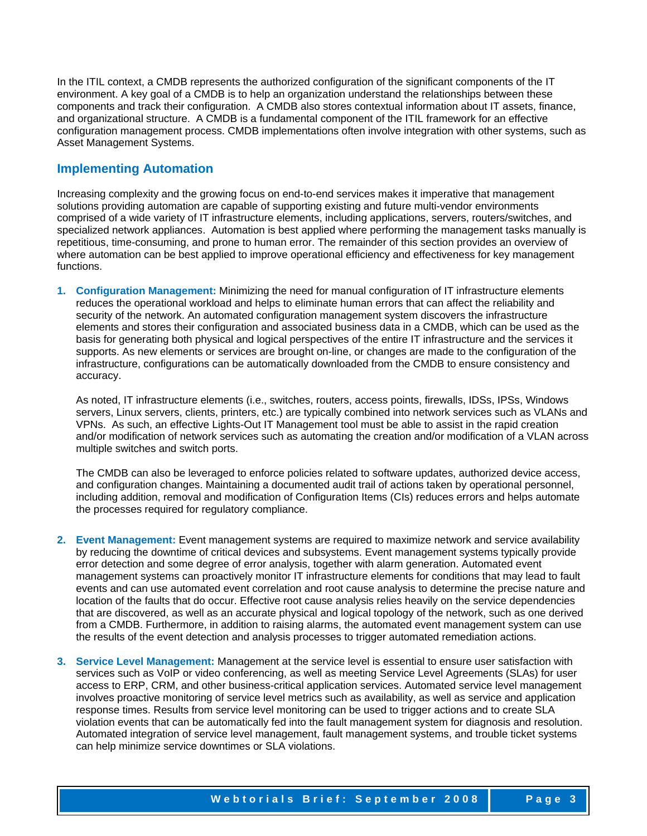In the ITIL context, a CMDB represents the authorized configuration of the significant components of the IT environment. A key goal of a CMDB is to help an organization understand the relationships between these components and track their configuration. A CMDB also stores contextual information about IT assets, finance, and organizational structure. A CMDB is a fundamental component of the ITIL framework for an effective configuration management process. CMDB implementations often involve integration with other systems, such as Asset Management Systems.

#### **Implementing Automation**

Increasing complexity and the growing focus on end-to-end services makes it imperative that management solutions providing automation are capable of supporting existing and future multi-vendor environments comprised of a wide variety of IT infrastructure elements, including applications, servers, routers/switches, and specialized network appliances. Automation is best applied where performing the management tasks manually is repetitious, time-consuming, and prone to human error. The remainder of this section provides an overview of where automation can be best applied to improve operational efficiency and effectiveness for key management functions.

**1. Configuration Management:** Minimizing the need for manual configuration of IT infrastructure elements reduces the operational workload and helps to eliminate human errors that can affect the reliability and security of the network. An automated configuration management system discovers the infrastructure elements and stores their configuration and associated business data in a CMDB, which can be used as the basis for generating both physical and logical perspectives of the entire IT infrastructure and the services it supports. As new elements or services are brought on-line, or changes are made to the configuration of the infrastructure, configurations can be automatically downloaded from the CMDB to ensure consistency and accuracy.

As noted, IT infrastructure elements (i.e., switches, routers, access points, firewalls, IDSs, IPSs, Windows servers, Linux servers, clients, printers, etc.) are typically combined into network services such as VLANs and VPNs. As such, an effective Lights-Out IT Management tool must be able to assist in the rapid creation and/or modification of network services such as automating the creation and/or modification of a VLAN across multiple switches and switch ports.

The CMDB can also be leveraged to enforce policies related to software updates, authorized device access, and configuration changes. Maintaining a documented audit trail of actions taken by operational personnel, including addition, removal and modification of Configuration Items (CIs) reduces errors and helps automate the processes required for regulatory compliance.

- **2. Event Management:** Event management systems are required to maximize network and service availability by reducing the downtime of critical devices and subsystems. Event management systems typically provide error detection and some degree of error analysis, together with alarm generation. Automated event management systems can proactively monitor IT infrastructure elements for conditions that may lead to fault events and can use automated event correlation and root cause analysis to determine the precise nature and location of the faults that do occur. Effective root cause analysis relies heavily on the service dependencies that are discovered, as well as an accurate physical and logical topology of the network, such as one derived from a CMDB. Furthermore, in addition to raising alarms, the automated event management system can use the results of the event detection and analysis processes to trigger automated remediation actions.
- **3. Service Level Management:** Management at the service level is essential to ensure user satisfaction with services such as VoIP or video conferencing, as well as meeting Service Level Agreements (SLAs) for user access to ERP, CRM, and other business-critical application services. Automated service level management involves proactive monitoring of service level metrics such as availability, as well as service and application response times. Results from service level monitoring can be used to trigger actions and to create SLA violation events that can be automatically fed into the fault management system for diagnosis and resolution. Automated integration of service level management, fault management systems, and trouble ticket systems can help minimize service downtimes or SLA violations.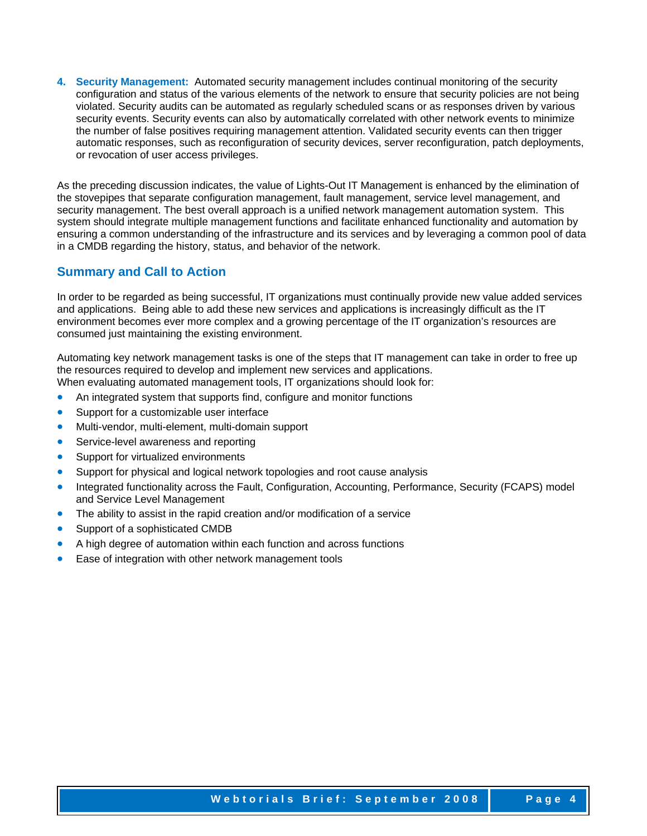**4. Security Management:** Automated security management includes continual monitoring of the security configuration and status of the various elements of the network to ensure that security policies are not being violated. Security audits can be automated as regularly scheduled scans or as responses driven by various security events. Security events can also by automatically correlated with other network events to minimize the number of false positives requiring management attention. Validated security events can then trigger automatic responses, such as reconfiguration of security devices, server reconfiguration, patch deployments, or revocation of user access privileges.

As the preceding discussion indicates, the value of Lights-Out IT Management is enhanced by the elimination of the stovepipes that separate configuration management, fault management, service level management, and security management. The best overall approach is a unified network management automation system. This system should integrate multiple management functions and facilitate enhanced functionality and automation by ensuring a common understanding of the infrastructure and its services and by leveraging a common pool of data in a CMDB regarding the history, status, and behavior of the network.

### **Summary and Call to Action**

In order to be regarded as being successful, IT organizations must continually provide new value added services and applications. Being able to add these new services and applications is increasingly difficult as the IT environment becomes ever more complex and a growing percentage of the IT organization's resources are consumed just maintaining the existing environment.

Automating key network management tasks is one of the steps that IT management can take in order to free up the resources required to develop and implement new services and applications. When evaluating automated management tools, IT organizations should look for:

- An integrated system that supports find, configure and monitor functions
- Support for a customizable user interface
- Multi-vendor, multi-element, multi-domain support
- Service-level awareness and reporting
- Support for virtualized environments
- Support for physical and logical network topologies and root cause analysis
- Integrated functionality across the Fault, Configuration, Accounting, Performance, Security (FCAPS) model and Service Level Management
- The ability to assist in the rapid creation and/or modification of a service
- Support of a sophisticated CMDB
- A high degree of automation within each function and across functions
- Ease of integration with other network management tools